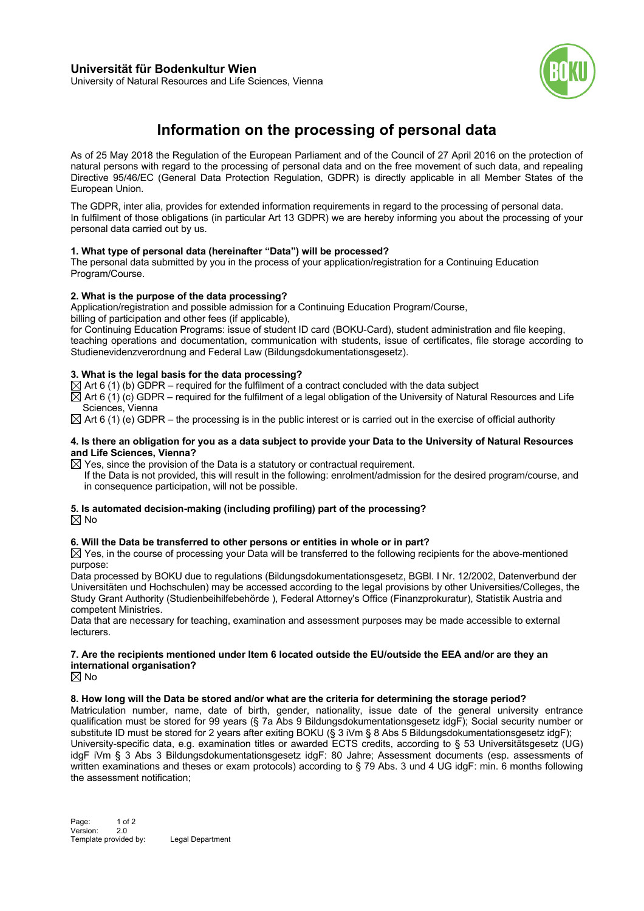

University of Natural Resources and Life Sciences, Vienna

# **Information on the processing of personal data**

As of 25 May 2018 the Regulation of the European Parliament and of the Council of 27 April 2016 on the protection of natural persons with regard to the processing of personal data and on the free movement of such data, and repealing Directive 95/46/EC (General Data Protection Regulation, GDPR) is directly applicable in all Member States of the European Union.

The GDPR, inter alia, provides for extended information requirements in regard to the processing of personal data. In fulfilment of those obligations (in particular Art 13 GDPR) we are hereby informing you about the processing of your personal data carried out by us.

## **1. What type of personal data (hereinafter "Data") will be processed?**

The personal data submitted by you in the process of your application/registration for a Continuing Education Program/Course.

## **2. What is the purpose of the data processing?**

Application/registration and possible admission for a Continuing Education Program/Course,

billing of participation and other fees (if applicable),

for Continuing Education Programs: issue of student ID card (BOKU-Card), student administration and file keeping, teaching operations and documentation, communication with students, issue of certificates, file storage according to Studienevidenzverordnung and Federal Law (Bildungsdokumentationsgesetz).

## **3. What is the legal basis for the data processing?**

 $\boxtimes$  Art 6 (1) (b) GDPR – required for the fulfilment of a contract concluded with the data subject

 $\boxtimes$  Art 6 (1) (c) GDPR – required for the fulfilment of a legal obligation of the University of Natural Resources and Life Sciences, Vienna

 $\boxtimes$  Art 6 (1) (e) GDPR – the processing is in the public interest or is carried out in the exercise of official authority

#### **4. Is there an obligation for you as a data subject to provide your Data to the University of Natural Resources and Life Sciences, Vienna?**

 $\boxtimes$  Yes, since the provision of the Data is a statutory or contractual requirement.

If the Data is not provided, this will result in the following: enrolment/admission for the desired program/course, and in consequence participation, will not be possible.

### **5. Is automated decision-making (including profiling) part of the processing?**  $\boxtimes$  No

## **6. Will the Data be transferred to other persons or entities in whole or in part?**

 $\boxtimes$  Yes, in the course of processing your Data will be transferred to the following recipients for the above-mentioned purpose:

Data processed by BOKU due to regulations (Bildungsdokumentationsgesetz, BGBl. I Nr. 12/2002, Datenverbund der Universitäten und Hochschulen) may be accessed according to the legal provisions by other Universities/Colleges, the Study Grant Authority (Studienbeihilfebehörde ), Federal Attorney's Office (Finanzprokuratur), Statistik Austria and competent Ministries.

Data that are necessary for teaching, examination and assessment purposes may be made accessible to external lecturers.

## **7. Are the recipients mentioned under Item 6 located outside the EU/outside the EEA and/or are they an international organisation?**

 $\boxtimes$  No

#### **8. How long will the Data be stored and/or what are the criteria for determining the storage period?**

Matriculation number, name, date of birth, gender, nationality, issue date of the general university entrance qualification must be stored for 99 years (§ 7a Abs 9 Bildungsdokumentationsgesetz idgF); Social security number or substitute ID must be stored for 2 years after exiting BOKU (§ 3 iVm § 8 Abs 5 Bildungsdokumentationsgesetz idgF); University-specific data, e.g. examination titles or awarded ECTS credits, according to § 53 Universitätsgesetz (UG) idgF iVm § 3 Abs 3 Bildungsdokumentationsgesetz idgF: 80 Jahre; Assessment documents (esp. assessments of written examinations and theses or exam protocols) according to § 79 Abs. 3 und 4 UG idgF: min. 6 months following the assessment notification;

Page: 1 of 2 Version: 2.0 Template provided by: Legal Department